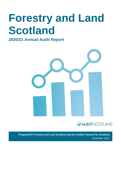# **Forestry and Land Scotland**

### **2020/21 Annual Audit Report**





**Prepared for Forestry and Land Scotland and the Auditor General for Scotland** November 2021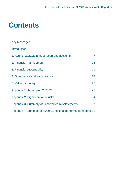# **Contents**

| Key messages                                                   | 3  |
|----------------------------------------------------------------|----|
| <b>Introduction</b>                                            | 5  |
| 1. Audit of 2020/21 annual report and accounts                 | 7  |
| 2. Financial management                                        | 16 |
| 3. Financial sustainability                                    | 19 |
| 4. Governance and transparency                                 | 22 |
| 5. Value for money                                             | 25 |
| Appendix 1: Action plan 2020/21                                | 29 |
| Appendix 2: Significant audit risks                            | 34 |
| Appendix 3: Summary of uncorrected misstatements               | 37 |
| Appendix 4: Summary of 2020/21 national performance reports 38 |    |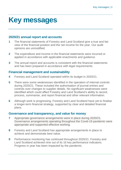# <span id="page-2-0"></span>**Key messages**

### **2020/21 annual report and accounts**

- **1** The financial statements of Forestry and Land Scotland give a true and fair view of the financial position and the net income for the year. Our audit opinions are unmodified.
- **2** The expenditure and income in the financial statements were incurred or applied in accordance with applicable enactments and guidance.
- **3** The annual report and accounts is consistent with the financial statements and has been prepared in accordance with legal requirements.

### **Financial management and sustainability**

- **4** Forestry and Land Scotland operated within its budget in 2020/21.
- **5** There were some weaknesses identified in the operation of internal controls during 2020/21. These included the authorisation of journal entries and controls over changes to supplier details. No significant weaknesses were identified which could affect Forestry and Land Scotland's ability to record, process, summarise, and report financial and other relevant information.
- **6** Although work is progressing, Forestry and Land Scotland have yet to finalise a longer-term financial strategy, supported by clear and detailed financial plans.

### **Governance and transparency, and value for money**

- **7** Appropriate governance arrangements were in place during 2020/21. Governance arrangements operating throughout the Covid-19 pandemic were appropriate and supported effective working.
- **8** Forestry and Land Scotland has appropriate arrangements in place to achieve and demonstrate best value.
- **9** Performance monitoring has continued throughout 2020/21. Forestry and Land Scotland achieved nine out of its 16 key performance indicators. Progress in year has been impacted by the pandemic.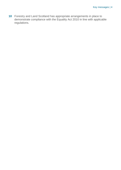**10** Forestry and Land Scotland has appropriate arrangements in place to demonstrate compliance with the Equality Act 2010 in line with applicable regulations.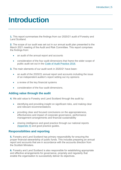# <span id="page-4-0"></span>**Introduction**

**1.** This report summarises the findings from our 2020/21 audit of Forestry and Land Scotland.

**2.** The scope of our audit was set out in our annual audit plan presented to the March 2021 meeting of the Audit and Risk Committee. This report comprises the findings from:

- an audit of the annual report and accounts
- consideration of the four audit dimensions that frame the wider scope of public audit set out in the [Code of Audit Practice 2016.](http://www.audit-scotland.gov.uk/report/code-of-audit-practice-2016)

**3.** The main elements of our audit work in 2020/21 have been:

- an audit of the 2020/21 annual report and accounts including the issue of an independent auditor's report setting out my opinions
- a review of the key financial systems
- consideration of the four audit dimensions.

#### **Adding value through the audit**

**4.** We add value to Forestry and Land Scotland through the audit by:

- identifying and providing insight on significant risks, and making clear and relevant recommendations
- providing clear and focused conclusions on the appropriateness, effectiveness and impact of corporate governance, performance management arrangements and financial sustainability
- sharing intelligence and good practice through our national reports [\(Appendix 4\)](#page-37-0) and good practice guides.

#### **Responsibilities and reporting**

**5.** Forestry and Land Scotland has primary responsibility for ensuring the proper financial stewardship of public funds. This includes preparing an annual report and accounts that are in accordance with the accounts direction from the Scottish Ministers.

**6.** Forestry and Land Scotland is also responsible for establishing appropriate and effective arrangements for governance, propriety and regularity that enable the organisation to successfully deliver its objectives.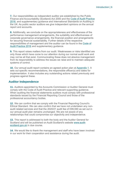**7.** Our responsibilities as independent auditor are established by the Public Finance and Accountability (Scotland) Act 2000 and the [Code of Audit Practice](https://www.audit-scotland.gov.uk/report/code-of-audit-practice-2016)  [2016,](https://www.audit-scotland.gov.uk/report/code-of-audit-practice-2016) and supplementary guidance and International Standards on Auditing in the UK. As public sector auditors we give independent opinions on the annual report and accounts.

**8.** Additionally, we conclude on the appropriateness and effectiveness of the performance management arrangements, the suitability and effectiveness of corporate governance arrangements, the financial position and arrangements for securing financial sustainability. Further details of the respective responsibilities of management and the auditor can be found in the [Code of](https://www.audit-scotland.gov.uk/report/code-of-audit-practice-2016)  [Audit Practice 2016](https://www.audit-scotland.gov.uk/report/code-of-audit-practice-2016) and supplementary guidance.

**9.** This report raises matters from our audit. Weaknesses or risks identified are only those which have come to our attention during our normal audit work and may not be all that exist. Communicating these does not absolve management from its responsibility to address the issues we raise and to maintain adequate systems of control.

**10.** Our annual audit report contains an agreed action plan at [Appendix 1.](#page-28-0) It sets out specific recommendations, the responsible officer(s) and dates for implementation. It also includes any outstanding actions raised previously and progress against these.

#### **Auditor Independence**

**11.** Auditors appointed by the Accounts Commission or Auditor General must comply with the Code of Audit Practice and relevant supporting guidance. When auditing the financial statements auditors must comply with professional standards issued by the Financial Reporting Council and those of the professional accountancy bodies.

**12.** We can confirm that we comply with the Financial Reporting Council's Ethical Standard. We can also confirm that we have not undertaken any nonaudit related services and that the 2020/21 audit fee of £99,590 as set out in our annual audit plan remains unchanged. We are not aware of any relationships that could compromise our objectivity and independence.

**13.** This report is addressed to both the body and the Auditor General for Scotland and will be published on Audit Scotland's website [www.audit](http://www.audit-scotland.gov.uk/)[scotland.gov.uk](http://www.audit-scotland.gov.uk/) in due course.

**14.** We would like to thank the management and staff who have been involved in our work for their cooperation and assistance during the audit.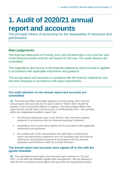# <span id="page-6-0"></span>**1. Audit of 2020/21 annual report and accounts**

The principal means of accounting for the stewardship of resources and performance

### **Main judgements**

The financial statements of Forestry and Land Scotland give a true and fair view of the financial position and the net income for the year. Our audit opinions are unmodified.

The expenditure and income in the financial statements were incurred or applied in accordance with applicable enactments and guidance.

The annual report and accounts is consistent with the financial statements and has been prepared in accordance with legal requirements.

#### **Our audit opinions on the annual report and accounts are unmodified**

**15.** The Audit and Risk Committee agreed on 23 November 2021 that the annual report and accounts for the year ended 31 March 2021 should be passed to the Accountable Officer for signing. The Accountable Officer then approved the annual report and accounts on 24 November 2021. We reported within the independent auditor's report that:

- the financial statements give a true and fair view and were properly prepared in accordance with the financial reporting framework
- expenditure and income were regular and in accordance with applicable enactments and guidance
- the audited part of the remuneration and staff report, performance report and governance statement were all consistent with the financial statements and properly prepared in accordance with the relevant legislation and directions made by Scottish Ministers.

#### **The annual report and accounts were signed off in line with the agreed timetable**

**16.** The unaudited annual report and accounts were received on 18 June 2021, in line with the timetable agreed with management. We are pleased to note that the unaudited annual report and accounts and supporting working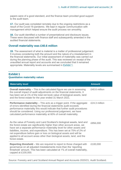papers were of a good standard, and the finance team provided good support to the audit team.

**17.** Our audit was completed remotely due to the ongoing restrictions as a result of the Covid-19 pandemic. We kept in regular communication with management which helped ensure the audit process ran smoothly.

**18.** Our audit identified a number of presentational and disclosure issues. These were discussed with finance staff and subsequently amended in the audited financial statements.

#### **Overall materiality was £40.6 million**

**19.** The assessment of what is material is a matter of professional judgement. It involves considering both the amount and the nature of a misstatement in the financial statements. Our initial assessment of materiality was carried out during the planning phase of the audit. This was reviewed on receipt of the unaudited annual report and accounts and we concluded that it remained appropriate. Materiality levels are summarised in [Exhibit](#page-7-0) 1.

#### <span id="page-7-0"></span>**Exhibit 1 Quantitative materiality values**

| <b>Materiality level</b>                                                                                                                                                                                                                                                                                                                                                                                                                                                       | <b>Amount</b> |
|--------------------------------------------------------------------------------------------------------------------------------------------------------------------------------------------------------------------------------------------------------------------------------------------------------------------------------------------------------------------------------------------------------------------------------------------------------------------------------|---------------|
| <b>Overall materiality</b> – This is the calculated figure we use in assessing<br>the overall impact of audit adjustments on the financial statements. It<br>has been set at 1% of the total net book value of biological assets, land<br>and the forest estate for the year ended 31 March 2021.                                                                                                                                                                              | £40.6 million |
| <b>Performance materiality</b> – This acts as a trigger point. If the aggregate<br>of errors identified during the financial statements audit exceeds<br>performance materiality this would indicate that further audit procedures<br>should be considered. Using our professional judgement, we have<br>calculated performance materiality at 60% of overall materiality.                                                                                                     | £24.3 million |
| As the value of Forestry and Land Scotland's biological assets, land and<br>the forest estate are significantly higher than other account areas, we<br>have set a separate performance materiality level for other assets and<br>liabilities, income, and expenditure. This has been set at 75% of 2% of<br>net expenditure before gain or loss on biological assets and will be<br>applied to all account areas other than biological assets, land, and the<br>forest estate. | £856,000      |
| Reporting threshold - We are required to report to those charged with<br>governance on all adjusted misstatements more than the 'reporting<br>threshold' amount. This has been calculated at 1% of overall materiality,<br>capped at £100,000.                                                                                                                                                                                                                                 | £100,000      |
|                                                                                                                                                                                                                                                                                                                                                                                                                                                                                |               |

Source: Forestry and Land Scotland Annual Report and Accounts 2020/21, Audit Scotland.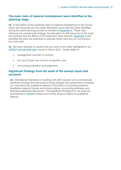#### **The main risks of material misstatement were identified at the planning stage**

**20.** A description of the assessed risks of material misstatement in the annual report and accounts and any wider dimension audit risks that were identified during the audit planning process is included at [Appendix 2.](#page-33-0) These risks influence our overall audit strategy, the allocation of staff resources to the audit and indicate how the efforts of the audit team were directed. [Appendix 2](#page-33-0) also identifies the work we undertook to address these risks and our conclusions from this work.

**21.** We have reported on issues from our work on the risks highlighted in our [2020/21 annual audit plan,](https://www.audit-scotland.gov.uk/report/forestry-and-land-scotland-annual-audit-plan-202021) issued in March 2021. These relate to:

- management override of controls;
- the risk of fraud over income recognition; and
- accounting estimation and judgement.

#### **Significant findings from the audit of the annual report and accounts**

<span id="page-8-0"></span>**22.** International Standard on Auditing (UK) 260 requires us to communicate significant findings from the audit to those charged with governance, including our view about the qualitative aspects of the body's accounting practices. Qualitative aspects include accounting policies, accounting estimates and financial statements disclosures. The significant findings from our audit are summarised in [Exhibit](#page-8-0) 2 below and include those in relation to qualitative aspects.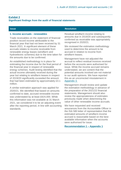#### **Exhibit 2 Significant findings from the audit of financial statements**

#### <span id="page-9-0"></span>**1. Income accruals - renewables**

Trade receivables on the statement of financial position record income attributable to the financial year that had not been received by 31 March 2021. A significant element of these accruals relates to income receivable from renewable energy leases (windfarm and hydroelectric schemes) due to the time taken for the amounts due to be confirmed.

An established methodology is in place for estimating the income due for the final period of the financial year in respect of renewable energy schemes. Audit testing identified that the actual income ultimately received during the year but relating to windfarm leases in respect of 2019/20 significantly exceeded the amount that had been estimated by approximately £3.1 million.

A similar estimation approach was applied for 2020/21. We identified that based on amounts confirmed to date, accrued renewable income was understated by at least £824,000. While this information was not available at 31 March 2021, we considered it to be an adjusting event after the reporting period, in line with accounting standards.

#### **Issue Resolution**

Residual windfarm income relating to amounts due in 2019/20 and subsequently confirmed as receivable was appropriately recognised in 2020/21.

We reviewed the estimation methodology used to determine the amount to be accrued in relation to income from windfarm leases.

Management have not adjusted the accrual to reflect residual invoices received before the accounts were authorised for issue. While the income accrued remains understated, we are content that the potential amounts involved are not material to our audit opinions. We have reported this as an uncorrected misstatement in [Appendix 3.](#page-36-0)

Management should review and update the estimation methodology in advance of the preparation of the 2021/22 financial statements. Management should also review the appropriateness of estimates previously made when determining the value of other renewable income accruals.

We have requested and received assurances from the Accountable Officer in the ISA 580 letter of representation that the estimated amounts of windfarm income accrued is reasonable based on the best available information when the accounts were authorised for issue.

#### **[Recommendation 1](#page-28-1) – Appendix 1**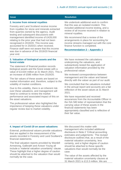#### <span id="page-10-0"></span>**2. Income from mineral royalties**

Forestry and Land Scotland receive income from royalties for stone and minerals extracted from quarries owned by the agency. Audit testing and subsequent discussions with management identified income of £428,000 relating to the prior year that had not been recognised in 2019/20. This income was accounted for in 2020/21 when received. Finance staff were not aware that this income was due in advance of the 2019/20 financial year end.

#### **3. Valuation of biological assets and the forest estate**

The statement of financial position records biological assets and the forest estate with a value of £3,634 million at 31 March 2021. This is an increase of £586 million from 2019/20.

The fair values of these assets are based on market information and, therefore, subject to the volatility of market conditions.

Due to this volatility, there is an inherent risk over these valuations, and management will need to continue to review the market performance and associated impact of this on the asset valuations.

The professional valuer also highlighted the importance of keeping these valuations under regular review due to market volatility.

#### **Issue Resolution**

We undertook additional work to confirm that this was an isolated incident. This included additional income testing, and a review of all income received in relation to mineral royalties.

We recommend that a review of the arrangements in place for accounting for income streams managed out with the core finance function is completed.

**[Recommendation 2](#page-28-2) – Appendix 1**

We have reviewed the calculations underpinning the valuations, and substantively tested the application of valuation information provided by the professional valuer.

We reviewed correspondence between management and the valuer and liaised directly with the valuer as part of our audit.

We concluded that the valuations included in the annual report and accounts are a fair reflection of the asset values at 31 March 2021.

We have requested and received assurances from the Accountable Officer in the ISA 580 letter of representation that the carrying value of these assets in the financial statements has been appropriately classified and is reflective of their fair value.

#### **4. Impact of Covid-19 on asset valuations**

External, professional valuers provide valuations that are applied in the measurement of the assets recorded in Forestry and Land Scotland's financial statements.

The final valuation reports provided by Wardell Armstrong, Galbraith and Avison Young all include a 'material valuation uncertainty' clause. These highlight that a higher degree of caution should be attached to the valuation than would normally be the case.

We discussed this matter with management who included additional disclosure in Note 2 'Critical accounting estimates and judgements.' The revised disclosure outlines that, as a result of the material valuation uncertainty, less certainty, and a higher degree of caution should be attached to these specific valuations than would normally be the case.

The value of the assets affected by the material valuation uncertainty clauses at 31 March 2021 is £13.3 million. We are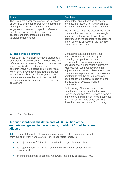| <b>Issue</b>                                                                                                                                                                                                                                                                                                 | <b>Resolution</b>                                                                                                                                                                                                                                                                                                                                                                      |
|--------------------------------------------------------------------------------------------------------------------------------------------------------------------------------------------------------------------------------------------------------------------------------------------------------------|----------------------------------------------------------------------------------------------------------------------------------------------------------------------------------------------------------------------------------------------------------------------------------------------------------------------------------------------------------------------------------------|
| The unaudited accounts referred to the impact<br>of Covid-19 being considered where possible in<br>arriving at accounting estimates and<br>judgements. However, no specific reference to<br>the clauses in the valuation reports, or an<br>assessment of the impact on the asset<br>valuations was included. | content that given the value of assets<br>affected, this issue is not fundamental to<br>the users' understanding of the accounts.<br>We are content with the disclosures made<br>in the audited accounts and have sought<br>and received the Accountable Officer's<br>assurances on management's assessment<br>of the fair value of assets in the ISA 580<br>letter of representation. |

#### **5. Prior period adjustment**

Note 23 of the financial statements discloses a prior period adjustment of £1.1 million. The note refers to income received from third parties that was recognised in the statement of comprehensive net expenditure in prior years which should have been deferred and carried forward for application in future years. The relevant comparator figures in the financial statements have been restated to reflect this adjustment.

Management advised that they had undertaken a full review of projects spanning multiple financial years. Following this review, management concluded that a prior period adjustment was required. We have reviewed this adjustment and the associated disclosures in the annual report and accounts. We are comfortable that the adjustment made does not have a material impact on either the 2019/20 or 2020/21 financial statements.

Audit testing of income transactions included consideration of the timing of income recognition. We reviewed a sample of balances included in deferred income as at 31 March 2021 and concluded that these had been accounted for correctly.

#### Source: Audit Scotland

#### **Our audit identified misstatements of £6.0 million of the amounts recognised in the accounts, of which £5.1 million were adjusted**

**23.** Total misstatements of the amounts recognised in the accounts identified from our audit work were £5.96 million. These relate largely to:

- an adjustment of £2.3 million in relation to a legal claims provision;
- an adjustment of £2.4 million required to the valuation of non-current assets; and
- the understatement of accrued renewable income by at least £824,000.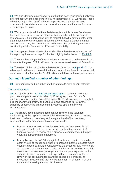**24.** We also identified a number of items that had been misclassified between different account lines, resulting in total misstatements of £10.1 million. These related mainly to the classification of corporate and business services overheads in the statement of comprehensive net expenditure, as discussed at paragraph 35 below.

**25.** We have concluded that the misstatements identified arose from issues that have been isolated and identified in their entirety and do not indicate systemic error. It is our responsibility to request that all misstatements, other than those below our reporting threshold, are corrected although the final decision on making the correction lies with those charged with governance considering advice from senior officers and materiality.

**26.** Management have adjusted for all identified misstatements in excess of the reporting threshold except for the item highlighted at issue 1 in [Exhibit 2.](#page-8-0)

**27.** The cumulative impact of the adjustments processed is a decrease in net income for the year of £2.1 million and a decrease in net assets of £4.4 million.

**28.** The effect of the uncorrected misstatement is set out in [Appendix 3.](#page-36-0) If this adjustment had been processed, the impact would have been to increase both net income and net assets by £0.824 million as detailed in the appendix below.

#### **Our audit identified a number of other findings**

**29.** Our audit identified a number of other matters to draw to your attention.

#### Non-current assets

<span id="page-12-0"></span>**30.** As reported in our [2019/20 annual audit report,](https://www.audit-scotland.gov.uk/report/forestry-and-land-scotland-annual-audit-201920) a number of historic practices and processes established by Forestry and Land Scotland's predecessor organisation, Forest Enterprise Scotland, continue to be applied. It is important that Forestry and Land Scotland continues to review the suitability of accounting practices and processes applied to its own circumstances.

**31.** We acknowledge that management have reviewed the valuation methodology for biological assets and the forest estate, and the accounting treatment of vehicles, machinery and equipment and office machinery. Additional areas for management's attention include:

- **Infrastructure assets:** expenditure on infrastructure assets is not recognised in the value of non-current assets in the statement of financial position. A review of this area was recommended in the prior year, and agreed with management.
- **Intangible assets**: IAS 38 Intangible Assets states that an intangible asset should be recognised when it is probable that the expected future economic benefits that are attributable to the asset will flow to the entity and the costs can be measured reliably. All costs incurred on intangible assets such as software packages and licences are expensed to the statement of comprehensive net expenditure. It is important that a review of the accounting for intangible assets is progressed, as investment in developing the new Management Information Platform continues increasing the amounts involved.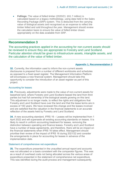• **Fellings:** The value of felled timber (2020/21: £61.7 million) is calculated based on a legacy methodology, using data held in the Sales Recording Package (SRP) system. This is deducted from the carrying value of biological assets and recognised as an expense to reflect the timber felled and sold throughout the year. Management should review the calculation basis to ensure the value of felled timber draws appropriately on the data available from SRP.

#### **Recommendation 3**

The accounting practices applied in the accounting for non-current assets should be reviewed to ensure they are appropriate to Forestry and Land Scotland. Particular attention should be given to infrastructure assets, intangible assets, and the calculation of the value of felled timber.

#### **[Appendix 1, Recommendation 3](#page-29-0)**

**32.** Currently, the information used to inform the non-current assets disclosures is prepared from a number of different workbooks and schedules as opposed to a fixed asset register. The Management Information Platform will encompass a new financial system. Management should take this opportunity to consider the introduction of an asset register as part of this project.

#### Accounting for leases

**33.** Previously, adjustments were made to the value of non-current assets for leasehold land, where Forestry and Land Scotland leased the land from third parties but had full ownership of the biological assets growing on this land. This adjustment is no longer made, to reflect the rights and obligations that Forestry and Land Scotland have over the land and that the lease terms are in excess of 100 years. We have reviewed this change and the leases involved and are satisfied that the valuation in the financial statements is an accurate reflection of the assets held by Forestry and Land Scotland.

**34.** A new accounting standard, IFRS 16 – Leases will be implemented from 1 April 2022 and will supersede all existing accounting standards on leases. It is likely to result in uniform accounting treatment for leases, removing the distinction between operating and finance leases. Forestry and Land Scotland have a number of lease agreements, and therefore, there will be an impact on the financial statements when IFRS 16 takes effect. Management should prioritise their review of the impact of IFRS 16 during 2021/22 and consider the arrangements in place for accounting for leases in advance of the implementation date.

#### Statement of comprehensive net expenditure

**35.** The expenditure presented in the unaudited annual report and accounts was not allocated on a basis consistent with the comparator figures. This was as a result of overhead costs not being allocated across the various areas of expenditure presented in the statement of comprehensive net expenditure. This was identified during the audit process and management subsequently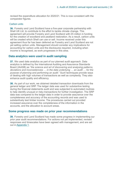revised the expenditure allocation for 2020/21. This is now consistent with the comparator figures.

#### Carbon units

**36.** Forestry and Land Scotland have a five-year corporate partnership with Shell UK Ltd. to contribute to the effort to tackle climate change. This agreement will provide Forestry and Land Scotland with £5 million in funding for the creation of woodland and peatland restoration. As a result, carbon units will be created which Shell can use or sell. Income received under this agreement thus far has been deferred as Forestry and Land Scotland are not yet selling carbon units. Management should consider any implications for accounting for carbon units and the disclosures required, including when income is recognised, as work progresses in this area.

#### **Data analytics were used in audit sampling**

**37.** We used data analytics as part of our planned audit approach. Data analytics is defined by the International Auditing and Assurance Standards Board (IAASB) as "*the science and art of discovering and analysing patterns, deviations and inconsistencies … in the data underlying … an audit … for the purpose of planning and performing an audit*." Such techniques provide ways of dealing with high volumes of transactions as well as complexity. They also enhance audit quality and efficiency.

**38.** As part of our work, we obtained detailed transaction downloads from the general ledger and SRP. The ledger data was used for substantive testing during the financial statements audit and was subjected to automated routines to help identify unusual or risky transactions for further investigation. The SRP data was compared to the ledger data in order to provide assurance over the completeness and accuracy of the accounting records and was used to substantively test timber income. The procedures carried out provided increased assurance over the completeness of the information in the accounts, and the allocation to account areas.

#### **Some progress was made on prior year recommendations**

**39.** Forestry and Land Scotland has made some progress in implementing our prior year audit recommendations. For actions not yet implemented, revised responses and timescales have been agreed with management, and are set out i[n Appendix 1.](#page-28-0)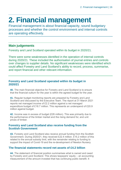# <span id="page-15-0"></span>**2. Financial management**

Financial management is about financial capacity, sound budgetary processes and whether the control environment and internal controls are operating effectively.

### **Main judgements**

Forestry and Land Scotland operated within its budget in 2020/21.

There were some weaknesses identified in the operation of internal controls during 2020/21. These included the authorisation of journal entries and controls over changes to supplier details. No significant weaknesses were identified which could affect Forestry and Land Scotland's ability to record, process, summarise, and report financial and other relevant information.

#### **Forestry and Land Scotland operated within its budget in 2020/21**

**40.** The main financial objective for Forestry and Land Scotland is to ensure that the financial outturn for the year is within the agreed budget for the year.

**41.** Regular budget monitoring reports are prepared by Forestry and Land Scotland and discussed by the Executive Team. The report at 31 March 2021 reports net managed income of £2.2 million against a net managed expenditure budget of £18.7 million. This represents an underspend of £20.9 million against budget.

**42.** Income was in excess of budget (£26 million). This was primarily due to the performance of the timber market and the rising demand for, and unit prices of timber.

#### **Forestry and Land Scotland also receive funding from the Scottish Government**

**43.** Forestry and Land Scotland also receive annual funding from the Scottish Government. During 2020/21, they received £22.4 million. £15.2 million of this related to the annual subsidy limit, with the remainder relating to funding to support the impact of Covid-19 and the re-development of Newton Nursery.

### **The financial statements record net assets of £4.2 billion**

**44.** The statement of financial position summarises what is owned and owed by Forestry and Land Scotland. This shows taxpayers' equity – an accounting measurement of the amount invested that has continuing public benefit. It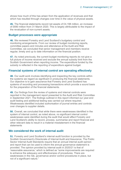shows how much of this has arisen from the application of revenues and that which has resulted through changes over time in the value of physical assets.

**45.** The financial statements record net assets of £4,198 million, an increase of £690 million from 31 March 2020. This is largely attributable to the impact of the revaluation of non-current assets.

#### **Budget processes were appropriate**

**46.** We reviewed Forestry and Land Scotland's budgetary control and monitoring arrangements. From our review of budget monitoring reports, committee papers and minutes and attendance at the Audit and Risk Committee, we concluded that senior management and members receive regular, timely and up to date information on the financial position.

**47.** As noted previously, the current budget monitoring reports do not give a full picture of income received and exclude the annual subsidy limit from the Scottish Government when reporting income. The expenditure funded by the subsidy is reflected in the reporting of expenditure against budget.

#### **Financial systems of internal control are operating effectively**

**48.** Our audit work involves identifying and inspecting the key controls within the systems we regard as significant in producing the financial statements. Our objective is to gain assurance that Forestry and Land Scotland has systems of recording and processing transactions which provide a sound basis for the preparation of the financial statements.

**49.** Our findings from the review of systems and internal controls were reported in the management report presented to the Audit and Risk Committee in September 2021. The findings outlined in this report informed our year-end audit testing and additional testing was carried out where required. Weaknesses identified included authorisation of journal entries and controls over changes to supplier details.

**50.** Overall, we concluded that while there were weaknesses identified in the system of internal control, as noted above, no significant internal control weaknesses were identified during the audit that would affect Forestry and Land Scotland's ability to record, process, summarise and report financial and other relevant data to result in a material misstatement in the financial statements

#### **We considered the work of internal audit**

**51.** Forestry and Land Scotland's internal audit function is provided by the Scottish Government's Directorate of Internal Audit and Assurance. The Public Sector Internal Audit Standards require that an annual internal audit opinion and report that can be used to inform the annual governance statement is provided. The opinion provided by internal audit in 2020/21 is that of 'reasonable assurance,' which is defined as "some improvements are required to enhance the adequacy and effectiveness of procedures. There are weaknesses in the risk, governance and/or control procedures in place, but not of a significant nature."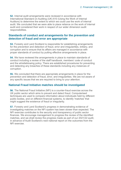**52.** Internal audit arrangements were reviewed in accordance with International Standard on Auditing (UK) 610 (Using the Work of Internal Auditors) to determine the extent to which we could use the work of internal audit. We concluded that we were able to place reliance on the work of internal audit and considered their work in respect of our wider dimension audit responsibilities.

#### **Standards of conduct and arrangements for the prevention and detection of fraud and error are appropriate**

**53.** Forestry and Land Scotland is responsible for establishing arrangements for the prevention and detection of fraud, error and irregularities, bribery, and corruption and to ensure that its affairs are managed in accordance with proper standards of conduct by putting effective arrangements in place.

**54.** We have reviewed the arrangements in place to maintain standards of conduct including a review of the staff handbook, members' code of conduct and the whistleblowing policy. There are established procedures for preventing and detecting any breaches of these standards including any instances of corruption.

**55.** We concluded that there are appropriate arrangements in place for the prevention and detection of fraud, error, and irregularities. We are not aware of any specific issues that we are required to bring to your attention.

#### **National Fraud Initiative matches should be investigated**

**56.** The National Fraud Initiative (NFI) is a counter-fraud exercise across the UK public sector which aims to prevent and detect fraud. Computerised techniques are used to compare information about individuals held by different public bodies, and on different financial systems, to identify 'matches' that might suggest the existence of fraud or irregularity.

**57.** Forestry and Land Scotland's progress in demonstrating evidence of investigating matches on the NFI system has been slower than expected. The NFI exercise contributes to the security and transparency of public sector finances. We encourage management to progress the review of the identified matches, and we shall review the progress made as part of our 2021/22 audit, in advance of Audit Scotland's next national report on the outcomes from the NFI exercise.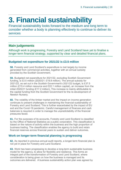# <span id="page-18-0"></span>**3. Financial sustainability**

Financial sustainability looks forward to the medium and long term to consider whether a body is planning effectively to continue to deliver its services

### **Main judgements**

Although work is progressing, Forestry and Land Scotland have yet to finalise a longer-term financial strategy, supported by clear and detailed financial plans.

### **Budgeted net expenditure for 2021/22 is £3.5 million**

**58.** Forestry and Land Scotland's expenditure is met largely by income generated from commercial activities, together with an annual subsidy provided by the Scottish Government.

**59.** Budgeted net expenditure for 2021/22, excluding Scottish Government funding, is £3.5 million (2020/21: £19.8 million). The annual subsidy for 2021/22, as set out in the Scottish Government's 2021/22 budget, is £37.5 million (£15.4 million resource and £22.1 million capital), an increase from the initial 2020/21 funding (£17.2 million). This increase is mainly attributable to the capital funding from the Scottish Government for the re-development of Newton Nursery.

**60.** The volatility of the timber market and the impact on income generation continues to present challenges in maintaining the financial sustainability of Forestry and Land Scotland. This is further exacerbated by the impact of EU exit and the Covid-19 pandemic. Careful management of finances and cash balances is required in order to manage the unpredictability of the financial pressures faced.

**61.** For the purposes of its accounts, Forestry and Land Scotland is classified by the Office of National Statistics as a public corporation. This classification is based on the nature of activity within the business and the high proportion of business trading. The classification enables the agency to build and retain financial reserves across financial years to sustain and deliver outcomes.

### **Work on longer-term financial planning is progressing**

**62.** As reported in previous annual audit reports, a longer-term financial plan is not yet in place for Forestry and Land Scotland.

**63.** Work has been progressing to develop a long-term sustainable business model for the agency, to allow for flexibility and resilience. This forms an integral part of the transformation of Forestry and Land Scotland, where consideration is being given on how the business is managed and its outcomes are delivered. A business sustainability action plan was agreed by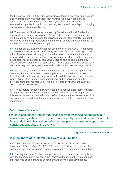the Executive Team in July 2020. A key area of focus is on improving business and financial planning processes, moving towards a five-year plan, as opposed to an annual financial planning cycle. This aims to create a sustainable organisation which is financially secure and can adapt to changing economic and climate challenges.

**64.** The majority of the income received by Forestry and Land Scotland is receipts from commercial activities. As such, this income is contingent on market conditions and demand for services supplied. The volatility in market conditions and the unpredictability of the income generated presents a risk to the financial sustainability of the agency.

**65.** In addition, EU exit and the longer-term effects of the Covid-19 pandemic may have a financial impact on Forestry and Land Scotland. Although timber prices have remained strong given the reliance on domestic markets and increased demand for timber, the impact of labour shortages and on securing a workforce for both Forestry and Land Scotland and its contractors may impact on the sustainability of operations. There is also a risk that longer-term contracts may include agreed rates and conditions that are no longer viable.

**66.** It is too early to fully determine the impact of EU exit and the pandemic, however, there is a risk that should suppliers become unable to deliver, Forestry and Land Scotland may not be able to deliver on their programme of work, which in turn impacts on the amount of timber harvested and the corresponding income received. This is a key area of risk that the Executive Team continue to monitor.

<span id="page-19-0"></span>**67.** These factors further highlight the need for a robust longer-term financial strategy, and management should continue to prioritise the development of this. As recommended in previous annual audit reports, the strategy should be supported by clear, detailed financial plans, and align with the corporate plan outcomes.

#### **Recommendation 4**

The development of a longer-term financial strategy should be progressed. A financial strategy should be prepared, supported by clear and detailed financial plans, and should clearly align with corporate plan outcomes to support the financial sustainability of the agency.

#### **Appendix [1, Recommendation 4](#page-29-1)**

#### **Cash balances at 31 March 2021 were £84.8 million**

**68.** The statement of financial position at 31 March 2021 records cash balances of £84.8 million (2019/20: £62.1 million). This increase reflects the continuing increase in income receipts as a result of strong market conditions.

**69.** Forestry and Land Scotland are permitted to hold cash reserves, in line with the reserves policy set out in their framework document. This recognises that reserves exist to manage uncertainty and service long-term needs.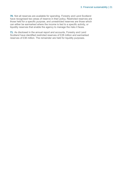**70.** Not all reserves are available for spending. Forestry and Land Scotland have recognised two areas of reserve in their policy. Restricted reserves are those held for a specific purpose, and unrestricted reserves are those which can either be earmarked where the income is tied to a specific activity, or liquidity reserves that enable the agency to manage the risks it faces.

**71.** As disclosed in the annual report and accounts, Forestry and Land Scotland have identified restricted reserves of £28 million and earmarked reserves of £38 million. The remainder are held for liquidity purposes.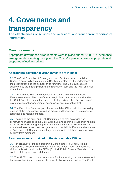# <span id="page-21-0"></span>**4. Governance and**

## **transparency**

The effectiveness of scrutiny and oversight, and transparent reporting of information

### **Main judgements**

Appropriate governance arrangements were in place during 2020/21. Governance arrangements operating throughout the Covid-19 pandemic were appropriate and supported effective working.

#### **Appropriate governance arrangements are in place**

**72.** The Chief Executive of Forestry and Land Scotland, as Accountable Officer, is personally accountable to Scottish Ministers for the performance of the organisation and the delivery of its functions. The Chief Executive is supported by the Strategic Board, the Executive Team and the Audit and Risk Committee.

**73.** The Strategic Board is comprised of Executive Directors and Non-Executive Advisors. The role of the Strategic Board is to support and advise the Chief Executive on matters such as strategic vision, the effectiveness of risk management arrangements, governance, and internal control.

**74.** The Executive Team supports the Accountable Officer with the day to day running of the organisation, providing advice and knowledge on professional, technical, and regional matters.

**75.** The role of the Audit and Risk Committee is to provide advice and constructive challenge to the Chief Executive and to provide support in relation to his responsibilities regarding risk management, control, governance, and associated assurance to support year-end accountability. From our attendance at Audit and Risk Committee meetings, we conclude that there is appropriate scrutiny from members.

#### **Assurances were provided to the Accountable Officer**

**76.** HM Treasury's Financial Reporting Manual (the FReM) requires the inclusion of a governance statement within the annual report and accounts. Guidance is set out within the SPFM (Scottish Public Finance Manual) for the content of the governance statement.

**77.** The SPFM does not provide a format for the annual governance statement but sets out minimum requirements for central government bodies. The Chief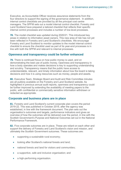Executive, as Accountable Officer receives assurance statements from the four directors to support the signing of the governance statement. In addition, internal control checklists are provided by all the principal cost centre managers. The SPFM sets out a model internal control checklist. Forestry and Land Scotland have prepared a tailored checklist that reflects their specific internal control processes and includes a number of low-level processes.

**78.** The model checklist was updated during 2020/21. This introduced key areas in relation to information asset owners. This new area of risk has not yet been reflected in Forestry and Land Scotland's checklists. We encourage Forestry and Land Scotland to monitor updates to the model internal control checklist to ensure the checklist used as part of its year-end processes is in line with both the SPFM and relevant to internal processes.

#### **Openness and transparency could be further enhanced**

**79.** There is continued focus on how public money is used, and on demonstrating the best use of public money. Openness and transparency in how a body operates and makes decisions is key to supporting understanding and scrutiny. Transparency means that the public have access to understandable, relevant, and timely information about how the board is taking decisions and how it is using resources such as money, people and assets.

**80.** Executive Team, Strategic Board and Audit and Risk Committee minutes are all publicly available on the Forestry and Land Scotland website. As highlighted in previous annual audit reports, openness and transparency could be further improved by extending the availability of meeting papers to the public, with confidential or commercially sensitive information withdrawn or redacted as appropriate.

#### **Corporate and business plans are in place**

**81.** Forestry and Land Scotland's current corporate plan covers the period 2019-22. This was published in October 2019, after the agency was established, in line with the framework document. The plan sets out the organisation's outcomes and targets, performance indicators and gives an overview of how the outcomes will be delivered over the period, in line with the Scottish Government's Purpose and National Outcomes set out in the National Performance Framework.

**82.** Five corporate outcomes are in place. These are reliant on each other and support the delivery of Forestry and Land Scotland's vision and mission, and ultimately the Scottish Government outcomes. These outcomes are:

- supporting a sustainable rural economy;
- looking after Scotland's national forests and land;
- national forests and land for visitors and communities;
- a supportive, safe and inclusive organisation; and
- a high-performing organisation.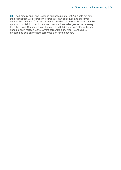**83.** The Forestry and Land Scotland business plan for 2021/22 sets out how the organisation will progress the corporate plan objectives and outcomes. It reflects the continued focus on delivering on all commitments, but that an agile approach is vital, in order to be able to respond to challenges as the recovery from the Covid-19 pandemic continues. The 2020/21 business plan is the final annual plan in relation to the current corporate plan. Work is ongoing to prepare and publish the next corporate plan for the agency.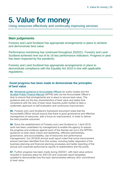# <span id="page-24-0"></span>**5. Value for money**

Using resources effectively and continually improving services

### **Main judgements**

Forestry and Land Scotland has appropriate arrangements in place to achieve and demonstrate best value.

Performance monitoring has continued throughout 2020/21. Forestry and Land Scotland achieved nine out of its 16 key performance indicators. Progress in year has been impacted by the pandemic.

Forestry and Land Scotland has appropriate arrangements in place to demonstrate compliance with the Equality Act 2010 in line with applicable regulations.

#### **Good progress has been made to demonstrate the principles of best value**

**84.** [Ministerial guidance to Accountable Officers](https://www.gov.scot/publications/best-value-public-services-guidance-accountable-officers/) for public bodies and the [Scottish Public Finance Manual](https://www.gov.scot/publications/scottish-public-finance-manual/best-value/best-value/) (SPFM) sets out the Accountable Officer's duty to ensure that arrangements are in place to secure best value. The guidance sets out the key characteristics of best value and states that compliance with the duty of best value requires public bodies to take a systematic approach to self-evaluation and continuous improvement.

**85.** Forestry and Land Scotland's framework document notes that the Accountable Officer should ensure that there is good governance and effective management of resources, with a focus on improvement, in order to deliver the best possible outcomes.

**86.** Since the establishment of Forestry and Land Scotland on 1 April 2019, work has been undertaken by management to enable the agency to assess the progress and evidence against each of the themes set out in the SPFM's guidance on best value (vision and leadership, effective partnerships, governance, and accountability, use of resources and performance management). Our 2019/20 annual audit report noted that some improvement actions had been identified from this review, including better alignment of the business planning and financial planning processes and better reporting of the annual and corporate performance reports to stakeholders and the public.

**87.** Further progress has been made during 2020/21, with best value actions included in business plans for 2021/22 and corporate report templates updated to demonstrate how the topic demonstrates delivery of/or commitment to best value.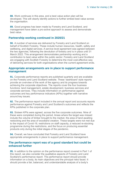**88.** Work continues in this area, and a best value action plan will be developed. This will clearly identify actions to further embed best value across the organisation.

**89.** Good progress has been made by Forestry and Land Scotland, and management have taken a pro-active approach to assess and demonstrate best value.

#### **Partnership working continued in 2020/21**

**90.** A number of services are delivered by Forestry and Land Scotland on behalf of Scottish Forestry. These include human resources, health, safety and wellbeing, and digital services. A service level agreement was agreed between the two agencies, following the devolution of forestry and is in place until 31 March 2022. This arrangement demonstrates partnership working and a contribution to best value within the public sector. Forestry and Land Scotland are engaging with Scottish Forestry to determine the most cost-effective way of delivering services for both organisations when the current agreement ends.

#### **Appropriate arrangements are in place to support performance management**

**91.** Corporate performance reports are published quarterly and are available on the Forestry and Land Scotland website. These 'dashboard' style reports provide an overview of the work of the agency and its progress towards achieving the corporate objectives. The reports cover the four business functions: land management, estate development, business services and corporate services. They include information on performance against outcomes and key performance indicators (KPIs) together with narrative around key issues.

**92.** The performance report included in the annual report and accounts reports performance against Forestry and Land Scotland's outcomes and reflects the KPIs published in the corporate plan.

**93.** Sixteen KPIs were agreed, across the five corporate outcomes. Nine of these were completed during the period. Areas where the target was missed include the volume of timber brought to the market, the area of land awaiting restocking and the area of woodland creation. These targets were not met due to the impact of Covid-19, restrictions on staff capacity, a reduced re-stocking programme during the restrictions, and the focus on producing essential products only during the initial stages of the pandemic.

**94.** Overall, we have concluded that Forestry and Land Scotland have appropriate arrangements in place to support performance management.

#### **The performance report was of a good standard but could be enhanced further**

<span id="page-25-0"></span>**95.** In addition to the opinion on the performance report covered in Part 1 of this report, we also consider the qualitative aspects of Forestry and Land Scotland's performance report. The performance report should provide information on a body, its main objectives and the principal risks faced. It should provide a fair, balanced, and understandable analysis of a body's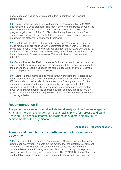performance as well as helping stakeholders understand the financial statements.

**96.** The performance report reflects the improvements identified in 2019/20 and remains at a good standard. The report shows clear linkages between the five corporate outcomes detailed in the Corporate Plan 2019-2022 and progress against each of the 16 KPIs underpinning these outcomes. The outcomes are aligned to the Scottish Government's outcomes and purpose detailed in the National Performance Framework.

**97.** In addition to the KPIs referenced in paragraph 93 above, 41 key work areas for 2020/21 are reported in the performance report with 24 of these completed in year. These key work areas sit under the KPIs. As with the KPIs, the impact of the pandemic and subsequently on staff has had an impact on the achievement of these work areas. These activities will continue into 2021/22.

**98.** Our audit work identified some areas for improvement to the performance report, and these were discussed with management. Revisions were made to the performance report included in the audited accounts, and we are content that it complies with the 2020/21 FReM.

**99.** Further improvements can be made through providing more detail about future plans for Forestry and Land Scotland. More evaluation and analysis of KPI trends should be included in future years as Forestry and Land Scotland matures as an organisation and completes the three-year cycle of the corporate plan. In addition, the finance reporting provides some information about performance against the operating budget and how this links to future plans. This can be enhanced by providing more linkages to the achievements of the organisation.

#### **Recommendation 5**

The performance report should include trend analysis of performance against KPIs, and more on the longer-term sustainability plans for Forestry and Land Scotland. The financial information included should more clearly link to achievements of the organisation.

**[Appendix 1, Recommendation 5](#page-30-0)**

#### **Forestry and Land Scotland contributes to the Programme for Government**

**100.** The Scottish Government's Programme for Government is published in September every year. This sets out the actions that the Scottish Government will take in the coming year and beyond. As an executive agency of the Scottish Government, Forestry and Land Scotland has a key role to play in contributing to the delivery of the programme. The 2021/22 Business Plan sets out the following commitments of relevance to Forestry and Land Scotland: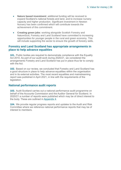- **Nature based investment**: additional funding will be received to expand Scotland's national forests and land, and to increase nursery capacity and higher production. Significant investment in Newton Nursery has been confirmed which will contribute towards the achievement of this commitment.
- **Creating green jobs**: working alongside Scottish Forestry and NatureScot, Forestry and Land Scotland have committed to increasing opportunities for younger people in the rural and green economy. This will include supporting the sector to ensure the growth of forestry skills.

#### **Forestry and Land Scotland has appropriate arrangements in place to help advance equalities**

**101.** Public bodies are required to demonstrate compliance with the Equality Act 2010. As part of our audit work during 2020/21, we considered the arrangements Forestry and Land Scotland has put in place thus far to comply with the Act.

**102.** Based on our review, we concluded that Forestry and Land Scotland has a good structure in place to help advance equalities within the organisation and in its external activities. The most recent equalities and mainstreaming report was published in April 2021, in line with the requirements of the legislation.

#### **National performance audit reports**

**103.** Audit Scotland carries out a national performance audit programme on behalf of the Accounts Commission and the Auditor General for Scotland. In 2020/21 a number of reports were published which may be of direct interest to the body. These are outlined in [Appendix](#page-37-0) 4.

**104.** We provide regular progress reports and updates to the Audit and Risk Committee where we reference national performance reports that may be of interest to members.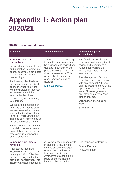# <span id="page-28-0"></span>**Appendix 1: Action plan 2020/21**

### **2020/21 recommendations**

<span id="page-28-1"></span>

| <b>Issue/risk</b>                                                                                                                                                                                                                                                                                                                                                                                                                                                                                    | <b>Recommendation</b>                                                                                                                                                                                                                                                           | <b>Agreed management</b><br>action/timing                                                                                                                                                                                                                                                                                                                                                                                                                        |
|------------------------------------------------------------------------------------------------------------------------------------------------------------------------------------------------------------------------------------------------------------------------------------------------------------------------------------------------------------------------------------------------------------------------------------------------------------------------------------------------------|---------------------------------------------------------------------------------------------------------------------------------------------------------------------------------------------------------------------------------------------------------------------------------|------------------------------------------------------------------------------------------------------------------------------------------------------------------------------------------------------------------------------------------------------------------------------------------------------------------------------------------------------------------------------------------------------------------------------------------------------------------|
| 1. Income accruals -<br>renewables<br>Income due at financial year-<br>end in relation to renewable<br>energy schemes is estimated<br>based on an established<br>methodology.<br>Audit testing identified that<br>the actual income received<br>during the year relating to<br>windfarm leases in respect of<br>2019/20 exceeded the<br>amount that had been<br>estimated by approximately<br>£3.1 million.<br>We identified that based on<br>amounts confirmed to date,<br>accrued renewable income | The estimation methodology<br>for windfarm accruals should<br>be reviewed and revised and<br>updated in advance of the<br>preparation of the 2021/22<br>financial statements. This<br>review should be extended to<br>other renewable income<br>accruals.<br>Exhibit 2, Point 1 | The functional and finance<br>teams are working together to<br>review and recommend a<br>revised approach to the<br>legacy methodology which<br>was inherited.<br>The Management Accounts<br>team has been supplemented<br>with an additional 2.00 wte<br>and the first task of one of the<br>appointees is to review this<br>area of income generation<br>and other commercial (non<br>timber) income.<br>Donna Mortimer & John<br><b>Mair</b><br>31 March 2022 |
| was understated by at least                                                                                                                                                                                                                                                                                                                                                                                                                                                                          |                                                                                                                                                                                                                                                                                 |                                                                                                                                                                                                                                                                                                                                                                                                                                                                  |

was understated by at least £824,000 at 31 March 2021. This has been reported as an uncorrected misstatement.

**Risk:** There is a risk that the financial statements do not accurately reflect the income receivable from renewable energy schemes.

#### <span id="page-28-2"></span>**2. Income from mineral royalties**

Audit testing identified income of £428,000 million relating to 2019/20 that had not been recognised in the previous financial year. This income was accounted for in

A review of the arrangements in place for accounting for income streams managed outwith the core finance function is carried out. Arrangements should be in place to ensure that the income reflected in the

See response for Issue 1. **Donna Mortimer 31 March 2022**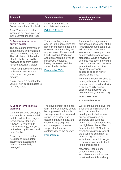| <b>Issue/risk</b>                                                                                                          | <b>Recommendation</b>                                                                                                          | <b>Agreed management</b><br>action/timing                                                                                         |
|----------------------------------------------------------------------------------------------------------------------------|--------------------------------------------------------------------------------------------------------------------------------|-----------------------------------------------------------------------------------------------------------------------------------|
| 2020/21 when received by<br>Forestry and Land Scotland.                                                                    | financial statements is<br>complete and accurate.                                                                              |                                                                                                                                   |
| <b>Risk:</b> There is a risk that<br>income is not accounted for<br>in the correct financial year.                         | Exhibit 2, Point 2                                                                                                             |                                                                                                                                   |
| 3. Accounting for non-<br>current assets                                                                                   | The accounting practices<br>applied in the accounting for                                                                      | As part of the ongoing and<br>business as usual work of the                                                                       |
| The accounting treatment of<br>infrastructure and intangible<br>assets should be reviewed.<br>The calculation of the value | non-current assets should be<br>reviewed to ensure they are<br>appropriate to Forestry and<br><b>Land Scotland. Particular</b> | <b>Financial Accounts team FLS</b><br>will continue to review and<br>ensure that current practices<br>comply with the appropriate |

<span id="page-29-0"></span>calculation of the valu of felled timber should be reviewed to confirm that it remains accurately based.

Accounting policies should be reviewed to ensure they reflect any changes to practice.

**Risk:** There is a risk that the value of non-current assets is not fairly stated.

attention should be given to infrastructure assets, intangible assets, and the value of felled timber.

[Paragraphs 30-31](#page-12-0)

standards. While a review of this area has been in the pipe line for completion in previous years, the impact of other areas of review were assessed to be of higher priority at the time.

To ensure that we continue to comply this specific area will continue to be monitored with a project to fully review classification policy in the next financial year (2022-23).

#### **Donna Mortimer**

#### **31 December 2022**

Work continues to deliver the Business Sustainability plan which includes the development of a five year budget plan aligned to corporate and business plans. The expectation is that the high level plan will be finalised in late 2021 with the overarching strategy to fulfil the Business Sustainability plan an ongoing exercise while the approach to longer term planning embeds itself in the organisation.

Meantime, income and expenditure and any associated fluctuations are monitored monthly and any

#### <span id="page-29-1"></span>**4. Longer-term financial planning**

Work continues to develop a sustainable business model, and this will include longerterm financial planning. However, a longer-term financial strategy, has yet to be finalised by Forestry and Land Scotland.

**Risk:** There is a risk that fluctuations in budgeted income and expenditure cannot be effectively managed.

The development of a longerterm financial strategy should be progressed. A financial strategy should be prepared, supported by clear and detailed financial plans, and should clearly align with corporate plan outcomes to support the financial sustainability of the agency.

[Paragraph 67](#page-19-0)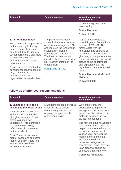<span id="page-30-0"></span>

| <b>Issue/risk</b>                                                                                                                                                                                                                   | <b>Recommendation</b>                                                                                                                                                                                                               | <b>Agreed management</b><br>action/timing                                                                                                                                                                                                |
|-------------------------------------------------------------------------------------------------------------------------------------------------------------------------------------------------------------------------------------|-------------------------------------------------------------------------------------------------------------------------------------------------------------------------------------------------------------------------------------|------------------------------------------------------------------------------------------------------------------------------------------------------------------------------------------------------------------------------------------|
|                                                                                                                                                                                                                                     |                                                                                                                                                                                                                                     | required mitigating action<br>taken swiftly.                                                                                                                                                                                             |
|                                                                                                                                                                                                                                     |                                                                                                                                                                                                                                     | <b>Donna Mortimer</b>                                                                                                                                                                                                                    |
|                                                                                                                                                                                                                                     |                                                                                                                                                                                                                                     | <b>31 March 2022</b>                                                                                                                                                                                                                     |
| 5. Performance report                                                                                                                                                                                                               | The performance report<br>should include trend analysis                                                                                                                                                                             | FLS will have completed<br>three full years of operation at                                                                                                                                                                              |
| The performance report could<br>be improved by including<br>more trend analysis, more<br>details of future longer term<br>sustainability plans and more<br>clearly linking financial<br>performance disclosures to<br>achievements. | of performance against KPIs,<br>and more on the longer-term<br>sustainability plans for<br>Forestry and Land Scotland.<br>The financial information<br>included should more clearly<br>link to achievements of the<br>organisation. | the end of 2021-22. This<br>historic data with the<br>finalisation and approval of<br>the five year budget plan<br>gives way to the performance<br>report providing an enhanced<br>picture of the performance<br>and expectations of the |
| <b>Risk:</b> There is a risk that the<br>performance report does not                                                                                                                                                                | Paragraphs 95. - 99.                                                                                                                                                                                                                | organisation in future annual<br>reports.                                                                                                                                                                                                |
| fully communicate the<br>performance of the<br>organisation to stakeholders.                                                                                                                                                        |                                                                                                                                                                                                                                     | <b>Donna Mortimer &amp; Michael</b><br><b>Hymers</b>                                                                                                                                                                                     |
|                                                                                                                                                                                                                                     |                                                                                                                                                                                                                                     | <b>31 March 2022</b>                                                                                                                                                                                                                     |

### **Follow-up of prior year recommendations**

| <b>Issue/risk</b>                                                                                                                                                         | <b>Recommendation</b>                                                                                                                | <b>Agreed management</b><br>action/timing                                                                                                                                                            |
|---------------------------------------------------------------------------------------------------------------------------------------------------------------------------|--------------------------------------------------------------------------------------------------------------------------------------|------------------------------------------------------------------------------------------------------------------------------------------------------------------------------------------------------|
| 1. Valuation of biological<br>assets and the forest estate<br>A review of the processes<br>and methodology for the<br>biological asset and forest<br>estate valuation was | Management should continue<br>to review the valuation<br>methodology and ensure<br>ongoing dialogue with the<br>professional valuer. | We consider that the<br>arrangements in place to<br>engage with the professional<br>valuer, and the extent of the<br>dialogue between the two<br>parties is reasonable.                              |
| undertaken. This identified a<br>valuation methodology<br>reflective of circumstances<br>and assets held.                                                                 |                                                                                                                                      | The move to a full revaluation<br>each financial year end has<br>helped minimise the impact of<br>the valuation movements                                                                            |
| <b>Risk:</b> These valuations are<br>market based and subject to<br>market volatility. There is an<br>inherent risk that these<br>values are misstated.                   |                                                                                                                                      | year on year, however the<br>market performance and<br>significant revaluation<br>increases recognised in<br>recent years means that this<br>is an area that should be<br>subject to ongoing review. |
|                                                                                                                                                                           |                                                                                                                                      | Complete for 2020/21                                                                                                                                                                                 |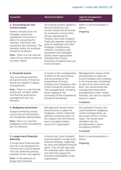| <b>Issue/risk</b>                                                                                                                                                                                                                                                                                                                                                             | <b>Recommendation</b>                                                                                                                                                                                                                                                                                                                                                                                                                               | <b>Agreed management</b><br>action/timing                                                                                                                                                                                                                                                                                |
|-------------------------------------------------------------------------------------------------------------------------------------------------------------------------------------------------------------------------------------------------------------------------------------------------------------------------------------------------------------------------------|-----------------------------------------------------------------------------------------------------------------------------------------------------------------------------------------------------------------------------------------------------------------------------------------------------------------------------------------------------------------------------------------------------------------------------------------------------|--------------------------------------------------------------------------------------------------------------------------------------------------------------------------------------------------------------------------------------------------------------------------------------------------------------------------|
| 2. Accounting for non-<br>current assets<br>Neither infrastructure nor<br>intangible assets are<br>capitalised. Processes in<br>place for accounting for<br>vehicles, machinery and<br>equipment are extensive. The<br>valuation policy for buildings<br>should be reviewed.<br><b>Risk:</b> There is a risk that the<br>value of non-current assets is<br>not fairly stated. | Accounting policies applied in<br>the accounting for non-<br>current assets (NCA) should<br>be reviewed to ensure they<br>remain appropriate to<br>Forestry and Land Scotland.<br>Particular attention should be<br>given to dwellings and other<br>buildings, infrastructure,<br>vehicles, machinery and<br>equipment and intangible<br>assets where approaches<br>inherited from Forest<br><b>Enterprise Scotland have yet</b><br>to be reviewed. | Refer to recommendation 3<br>above.<br>Ongoing                                                                                                                                                                                                                                                                           |
| 3. Financial assets<br>The accounting treatment<br>and governance of financial<br>assets are based on legacy<br>arrangements.<br><b>Risk:</b> There is a risk that the<br>assets are not fairly stated<br>and that the governance<br>arrangements are not<br>effective.                                                                                                       | A review of the arrangements<br>in place for the governance<br>and accounting for the<br>investments in Forest<br>Holidays and Camping in the<br>Forest should be carried out.<br>The arrangements, including<br>those relating to the<br>ownership of the investments,<br>should be formalised.                                                                                                                                                    | Management's review of the<br>arrangements in place for<br><b>Forest Holidays and Camping</b><br>in the Forest was considered<br>as part of our year-end audit<br>work. We recommend that<br>management keep these<br>arrangements under review,<br>however, we have no specific<br>issues to report.<br><b>Complete</b> |
| 4. Budgetary processes<br><b>Budget monitoring should</b><br>ensure that all transactions<br>are recognised appropriately.<br><b>Risk:</b> There is a risk that<br>budgetary control procedures<br>are not effective.                                                                                                                                                         | Management should review<br>the processes in place for<br>budgetary control. Particular<br>attention should be given to<br>the support from the finance<br>team to budget holders<br>across the organisation.                                                                                                                                                                                                                                       | We reviewed Forestry and<br>Land Scotland's budgetary<br>control arrangements, as<br>discussed at Part 2 of this<br>report. No issues were<br>identified with the<br>arrangements in place<br>throughout 2020/21.<br><b>Complete</b>                                                                                     |
| 5. Longer-term financial<br>planning<br>A longer-term financial plan<br>has yet to be developed for<br>Forestry and Land Scotland.<br>This was deferred pending<br>transition to the new agency.<br><b>Risk:</b> In the absence of<br>longer-term financial                                                                                                                   | <b>Forestry and Land Scotland</b><br>should prepare a longer-term<br>financial strategy, supported<br>by clear and detailed financial<br>plans. This should align with<br>the corporate plan outcomes<br>and will help support the<br>financial sustainability of the<br>organisation.                                                                                                                                                              | Refer to recommendation 4<br>above.<br>Ongoing                                                                                                                                                                                                                                                                           |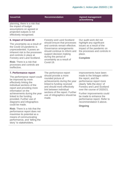| <b>Issue/risk</b>                                                                                                                                                                     | <b>Recommendation</b>                                                                                                                                                                                                                            | <b>Agreed management</b><br>action/timing                                                                                                                                         |
|---------------------------------------------------------------------------------------------------------------------------------------------------------------------------------------|--------------------------------------------------------------------------------------------------------------------------------------------------------------------------------------------------------------------------------------------------|-----------------------------------------------------------------------------------------------------------------------------------------------------------------------------------|
| planning, there is a risk that<br>the impact of budget<br>assumptions on agreed or<br>projected outputs is not<br>effectively recognised.                                             |                                                                                                                                                                                                                                                  |                                                                                                                                                                                   |
| 6. Impact of Covid-19                                                                                                                                                                 | <b>Forestry and Land Scotland</b>                                                                                                                                                                                                                | Our audit work did not                                                                                                                                                            |
| The uncertainty as a result of<br>the Covid-19 pandemic is<br>unprecedented. It poses an<br>inherent risk to the processes<br>and controls in place at<br>Forestry and Land Scotland. | should ensure that processes<br>and controls remain effective.<br>Governance arrangements<br>should continue to inform and<br>support decision making<br>during the period of<br>uncertainty as a result of                                      | highlight any significant<br>issues as a result of the<br>impact of the pandemic on<br>the processes and controls in<br>place.<br><b>Complete</b>                                 |
| <b>Risk:</b> There is a risk that<br>processes and controls are<br>ineffective.                                                                                                       | Covid-19.                                                                                                                                                                                                                                        |                                                                                                                                                                                   |
| 7. Performance report                                                                                                                                                                 | The performance report                                                                                                                                                                                                                           | Improvements have been                                                                                                                                                            |
| The performance report could<br>be improved by more<br>effectively linking the<br>individual sections of the<br>report and providing more<br>information on the                       | should provide a more<br>rounded picture of<br>achievements during the year<br>linked to funding received<br>and should more effectively<br>link between individual<br>sections of the report. Further<br>use of infographics should be<br>made. | made to the linkages within<br>the report, and the<br>performance report more<br>clearly 'tells the story' of<br><b>Forestry and Land Scotland</b><br>over the course of 2020/21. |
| achievements during the year<br>linked to the funding<br>provided. Further use of<br>diagrams and infographics                                                                        |                                                                                                                                                                                                                                                  | Further improvements could<br>be made to enhance the<br>performance report. Refer to<br>recommendation 5 above.                                                                   |
| could be made.<br><b>Risk:</b> There is a risk that the                                                                                                                               |                                                                                                                                                                                                                                                  | Ongoing                                                                                                                                                                           |
| performance report does not<br>maximise its potential as a<br>means of communicating<br>performance, and 'telling the<br>story' to stakeholders.                                      |                                                                                                                                                                                                                                                  |                                                                                                                                                                                   |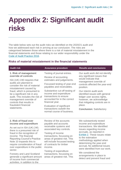# <span id="page-33-0"></span>**Appendix 2: Significant audit risks**

The table below sets out the audit risks we identified on the 2020/21 audit and how we addressed each risk in arriving at our conclusion. The risks are categorised between those where there is a risk of material misstatement in the financial statements and those relating to our wider responsibility under the [Code of Audit Practice 2016.](http://www.audit-scotland.gov.uk/report/code-of-audit-practice-2016)

#### **Risks of material misstatement in the financial statements**

| <b>Audit risk</b>                                                                                                                                                                                                                                                   | <b>Assurance procedure</b>                                                                                                                                                                                                             | <b>Results and conclusions</b>                                                                                                                                                                                                                                       |
|---------------------------------------------------------------------------------------------------------------------------------------------------------------------------------------------------------------------------------------------------------------------|----------------------------------------------------------------------------------------------------------------------------------------------------------------------------------------------------------------------------------------|----------------------------------------------------------------------------------------------------------------------------------------------------------------------------------------------------------------------------------------------------------------------|
| 1. Risk of management<br>override of controls<br>ISA (UK) 240 requires that<br>audits are planned to<br>consider the risk of material<br>misstatement caused by                                                                                                     | Testing of journal entries.<br>Review of accounting<br>estimates and judgements.<br>Focussed testing of year-end<br>payables and receivables.                                                                                          | Our audit work did not identify<br>any significant issues that<br>would indicate that<br>management override of<br>controls affected the year-end<br>position.                                                                                                       |
| fraud, which is presumed to<br>be a significant risk in any<br>audit. This includes the risk of<br>management override of<br>controls that results in<br>fraudulent financial<br>statements.                                                                        | Substantive cut-off testing of<br>income and expenditure<br>transactions to ensure<br>accounted for in the correct<br>financial year.<br>Evaluation of significant<br>transactions outwith the                                         | Our interim audit work<br>identified issues with general<br>ledger user access rights,<br>however, we acknowledge<br>that mitigating controls are in<br>place.                                                                                                       |
| 2. Risk of fraud over<br>income and expenditure                                                                                                                                                                                                                     | normal course of business.<br>Review of the accounts<br>payable and accounts                                                                                                                                                           | <b>Conclusion: Satisfactory</b><br>We substantively tested<br>income and expenditure                                                                                                                                                                                 |
| As set out in ISA (UK) 240,<br>there is a presumed risk of<br>fraud in the recognition of<br>income. The financial<br><b>Reporting Council's Practice</b><br>Note 10 expands this to<br>require consideration of fraud<br>over expenditure in the public<br>sector. | receivable systems and<br>associated key controls.<br>Testing of income<br>transactions, focussing on<br>areas of greatest risk. This<br>will include focussed testing<br>of contracts for timber<br>income.<br>Testing of expenditure | transactions. We identified<br>issues regarding income<br>accruals, as reported in<br>Exhibit 2. These issues relate<br>to the estimation<br>methodology applied when<br>determining the year-end<br>accrual. No additional issues<br>were identified from our work. |
| <b>Forestry and Land Scotland</b><br>generate a significant amount<br>of income from commercial<br>activities, in addition to the                                                                                                                                   | transactions, focussing on<br>areas of greatest risk. This                                                                                                                                                                             | We considered the<br>arrangements in place to<br>detect and prevent fraud and                                                                                                                                                                                        |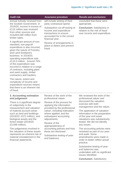| <b>Audit risk</b>                                                                                                                                                                                                                                                                                                                                                                        | <b>Assurance procedure</b>                                                                                                                                                      | <b>Results and conclusions</b>                                                                                                                                                             |                                                                                                                                                                       |
|------------------------------------------------------------------------------------------------------------------------------------------------------------------------------------------------------------------------------------------------------------------------------------------------------------------------------------------------------------------------------------------|---------------------------------------------------------------------------------------------------------------------------------------------------------------------------------|--------------------------------------------------------------------------------------------------------------------------------------------------------------------------------------------|-----------------------------------------------------------------------------------------------------------------------------------------------------------------------|
| annual subsidy received from<br>the Scottish Government. In<br>2019/20, income in excess of<br>£115 million was received<br>from other sources and<br>included £85 million from<br>timber sales.                                                                                                                                                                                         | will include testing of third<br>party contractual spend.<br>Substantive cut-off testing of<br>income and expenditure<br>transactions to ensure<br>accounted for in the correct | concluded that these were<br>appropriate.<br><b>Conclusion: Satisfactory in</b><br>relation to the risk of fraud<br>over income and expenditure.                                           |                                                                                                                                                                       |
| A significant amount of non-<br>standard, non-payroll<br>expenditure is also incurred,<br>given the nature of Forestry<br>and Land Scotland's<br>business. In 2019/20,<br>operating expenditure was<br>£110.5 million. Around 70%<br>of this expenditure was<br>incurred in relation to a range<br>of contracts, including plant<br>and seed supply, timber<br>contractors and hauliers. | financial year.<br>Review of arrangements in<br>place to detect and prevent<br>fraud.                                                                                           |                                                                                                                                                                                            |                                                                                                                                                                       |
| The nature, extent and<br>complexity of income and<br>expenditure sources means<br>that there is an inherent risk<br>of fraud.                                                                                                                                                                                                                                                           |                                                                                                                                                                                 |                                                                                                                                                                                            |                                                                                                                                                                       |
| 3. Accounting estimation<br>and judgement                                                                                                                                                                                                                                                                                                                                                | Review of the work of the<br>professional valuer.                                                                                                                               | We reviewed the work of the<br>professional valuer and                                                                                                                                     |                                                                                                                                                                       |
| There is a significant degree<br>of subjectivity in the<br>measurement and valuation                                                                                                                                                                                                                                                                                                     | Review of the process for<br>applying the information<br>provided by the professional                                                                                           | discussed the valuation<br>exercise with both<br>management and the valuer.                                                                                                                |                                                                                                                                                                       |
| of material account areas<br>such as land and buildings<br>(2019/20: £372 million), and<br>biological assets and the<br>forest estate (2019/20:<br>£3,048 million).                                                                                                                                                                                                                      | valuer, including indexation<br>where applied, and the<br>subsequent accounting<br>adjustments.<br>Review of the<br>appropriateness of                                          |                                                                                                                                                                                            | The application of valuation<br>information in the preparation<br>of the year-end asset<br>valuations was substantively<br>tested. We did not identify<br>any issues. |
| The judgements involved in<br>the valuation of these assets<br>represents an inherent risk of<br>material misstatement in the<br>financial statements.                                                                                                                                                                                                                                   | accounting policies and how<br>these are disclosed.<br>Substantive testing of year-<br>end balances.                                                                            | The accounting policies were<br>reviewed as part of our year-<br>end audit. Some<br>amendments were made in<br>order to better reflect actual<br>practice.<br>Substantive testing of year- |                                                                                                                                                                       |

Substantive testing of yearend balances was undertaken with no significant issues identified.

**Conclusion:** Satisfactory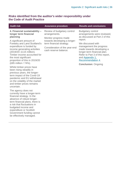#### **Risks identified from the auditor's wider responsibility under the Code of Audit Practice**

| <b>Audit risk</b>                                                                                                                                                                                                                                                                                                                                                         | <b>Assurance procedure</b>                                                                                                                                                                  | <b>Results and conclusions</b>                                                                                                                                                                                                                                                                                            |
|---------------------------------------------------------------------------------------------------------------------------------------------------------------------------------------------------------------------------------------------------------------------------------------------------------------------------------------------------------------------------|---------------------------------------------------------------------------------------------------------------------------------------------------------------------------------------------|---------------------------------------------------------------------------------------------------------------------------------------------------------------------------------------------------------------------------------------------------------------------------------------------------------------------------|
| 4. Financial sustainability -<br>longer term financial<br>planning<br>A significant amount of<br><b>Forestry and Land Scotland's</b><br>expenditure is funded by<br>income generating activities<br>(2019/20: £115 million).<br>Timber income accounted for<br>the most significant<br>proportion of this in 2019/20<br>(£85 million / 74%).<br>Whilst timber prices have | Review of budgetary control<br>arrangements.<br>Monitor progress made<br>towards developing a longer-<br>term financial strategy.<br>Consideration of the year-end<br>cash reserve balance. | <b>Budgetary control</b><br>arrangements were reviewed,<br>as discussed at Part 2 of this<br>report.<br>We discussed with<br>management the progress<br>made towards developing a<br>longer-term financial plan.<br>Refer to Part 3 of this report,<br>and Appendix 1,<br>Recommendation 4.<br><b>Conclusion: Ongoing</b> |
| been rising steadily in<br>previous years, the longer-<br>term impact of the Covid-19<br>pandemic and EU withdrawal<br>on the volatility of the market<br>and timber prices remains<br>uncertain.                                                                                                                                                                         |                                                                                                                                                                                             |                                                                                                                                                                                                                                                                                                                           |
| The agency does not<br>currently have a longer-term<br>financial strategy. In the<br>absence of robust longer-<br>term financial plans, there is<br>a risk that fluctuations in<br>budgeted income and<br>expenditure or Scottish<br>Government funding cannot<br>be effectively managed.                                                                                 |                                                                                                                                                                                             |                                                                                                                                                                                                                                                                                                                           |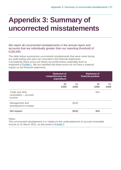# <span id="page-36-0"></span>**Appendix 3: Summary of uncorrected misstatements**

We report all uncorrected misstatements in the annual report and accounts that are individually greater than our reporting threshold of £100,000.

The table below summarises uncorrected misstatements that were noted during our audit testing and were not corrected in the financial statements. Cumulatively these errors are below our performance materiality level as explained in [Exhibit](#page-7-0) 1. We are satisfied that these errors do not have a material impact on the financial statements.

|                                                    | <b>Statement of</b><br>comprehensive net<br>expenditure |            | <b>Statement of</b><br>financial position |            |
|----------------------------------------------------|---------------------------------------------------------|------------|-------------------------------------------|------------|
|                                                    | Dr<br>£000                                              | Cr<br>£000 | Dr<br>£000                                | Cr<br>£000 |
| Trade and other<br>receivables - accrued<br>income |                                                         |            | 824                                       |            |
| Management and<br>development of estate            |                                                         | (824)      |                                           |            |
| <b>Net impact</b>                                  |                                                         | (824)      | 824                                       |            |

Notes:

This uncorrected misstatement is in relation to the understatement of accrued renewable income at 31 March 2021, as discussed in [Exhibit 2.](#page-8-0)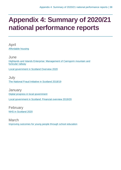# <span id="page-37-0"></span>**Appendix 4: Summary of 2020/21 national performance reports**

April [Affordable housing](https://www.audit-scotland.gov.uk/report/affordable-housing)

June [Highlands and Islands Enterprise: Management of Cairngorm mountain and](https://www.audit-scotland.gov.uk/report/highlands-and-islands-enterprise-management-of-cairngorm-mountain-and-funicular-railway)  [funicular railway](https://www.audit-scotland.gov.uk/report/highlands-and-islands-enterprise-management-of-cairngorm-mountain-and-funicular-railway)

[Local government in Scotland Overview 2020](https://www.audit-scotland.gov.uk/report/local-government-in-scotland-overview-2020)

**July** [The National Fraud Initiative in Scotland 2018/19](https://www.audit-scotland.gov.uk/report/the-national-fraud-initiative-in-scotland-201819)

**January** [Digital progress in local government](https://www.audit-scotland.gov.uk/report/digital-progress-in-local-government) [Local government in Scotland: Financial overview 2019/20](https://www.audit-scotland.gov.uk/report/local-government-in-scotland-financial-overview-201920)

February [NHS in Scotland 2020](https://www.audit-scotland.gov.uk/report/nhs-in-scotland-2020)

March [Improving outcomes for young people through school education](https://www.audit-scotland.gov.uk/report/improving-outcomes-for-young-people-through-school-education)